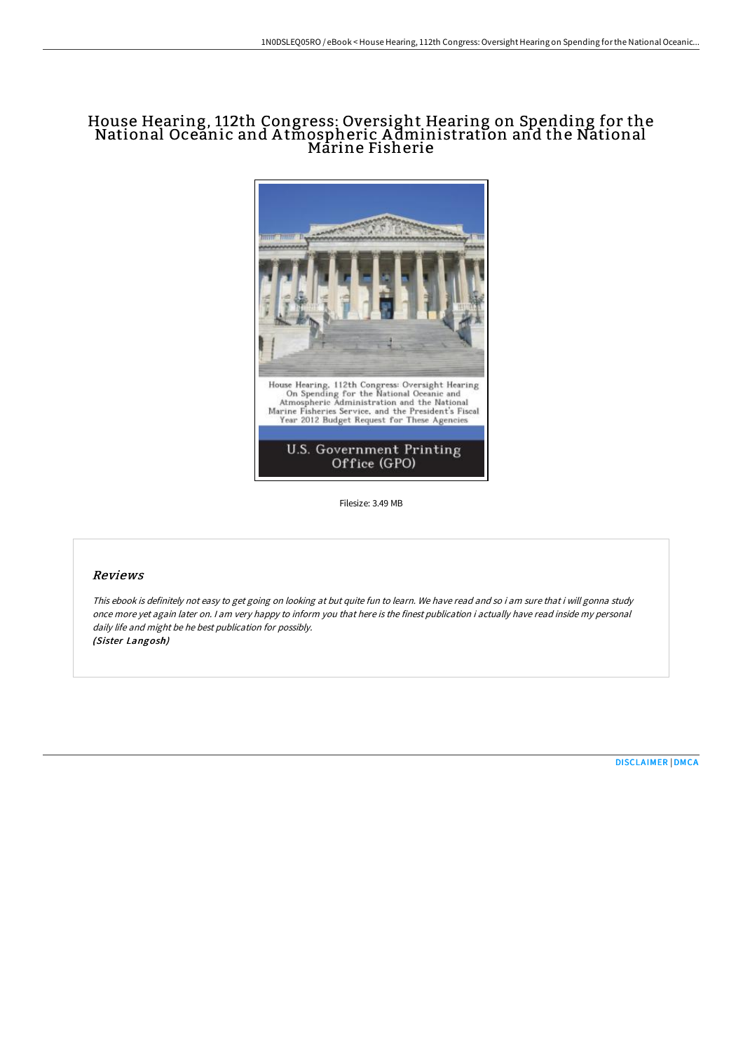# House Hearing, 112th Congress: Oversight Hearing on Spending for the National Oceanic and A tmospheric A dministration and the National Marine Fisherie



Filesize: 3.49 MB

#### Reviews

This ebook is definitely not easy to get going on looking at but quite fun to learn. We have read and so i am sure that i will gonna study once more yet again later on. <sup>I</sup> am very happy to inform you that here is the finest publication i actually have read inside my personal daily life and might be he best publication for possibly. (Sister Langosh)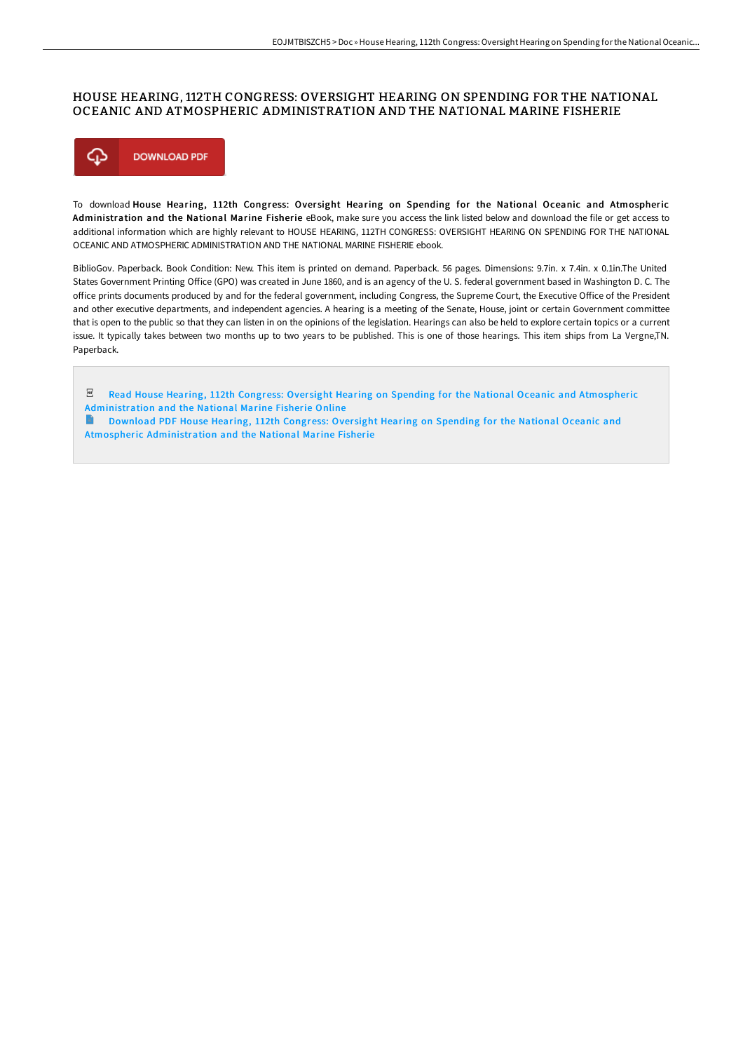### HOUSE HEARING, 112TH CONGRESS: OVERSIGHT HEARING ON SPENDING FOR THE NATIONAL OCEANIC AND ATMOSPHERIC ADMINISTRATION AND THE NATIONAL MARINE FISHERIE



To download House Hearing, 112th Congress: Oversight Hearing on Spending for the National Oceanic and Atmospheric Administration and the National Marine Fisherie eBook, make sure you access the link listed below and download the file or get access to additional information which are highly relevant to HOUSE HEARING, 112TH CONGRESS: OVERSIGHT HEARING ON SPENDING FOR THE NATIONAL OCEANIC AND ATMOSPHERIC ADMINISTRATION AND THE NATIONAL MARINE FISHERIE ebook.

BiblioGov. Paperback. Book Condition: New. This item is printed on demand. Paperback. 56 pages. Dimensions: 9.7in. x 7.4in. x 0.1in.The United States Government Printing Office (GPO) was created in June 1860, and is an agency of the U.S. federal government based in Washington D.C. The office prints documents produced by and for the federal government, including Congress, the Supreme Court, the Executive Office of the President and other executive departments, and independent agencies. A hearing is a meeting of the Senate, House, joint or certain Government committee that is open to the public so that they can listen in on the opinions of the legislation. Hearings can also be held to explore certain topics or a current issue. It typically takes between two months up to two years to be published. This is one of those hearings. This item ships from La Vergne,TN. Paperback.

 $PDF$ Read House Hearing, 112th Congress: Oversight Hearing on Spending for the National Oceanic and Atmospheric [Administration](http://techno-pub.tech/house-hearing-112th-congress-oversight-hearing-o-1.html) and the National Marine Fisherie Online

**Download PDF House Hearing, 112th Congress: Oversight Hearing on Spending for the National Oceanic and** Atmospheric [Administration](http://techno-pub.tech/house-hearing-112th-congress-oversight-hearing-o-1.html) and the National Marine Fisherie